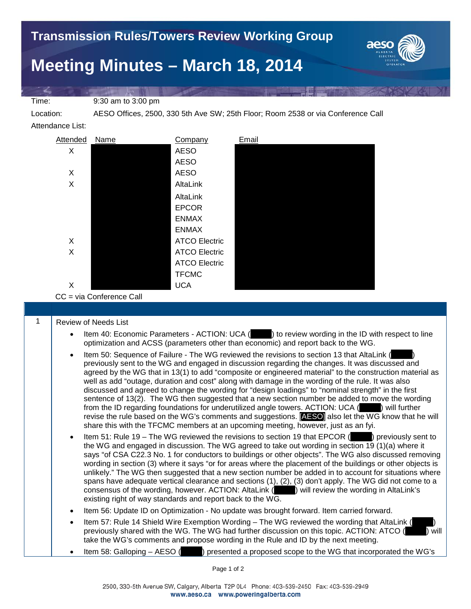Time: 9:30 am to 3:00 pm

Location: AESO Offices, 2500, 330 5th Ave SW; 25th Floor; Room 2538 or via Conference Call

Attendance List:



CC = via Conference Call

## 1 | Review of Needs List

- Item 40: Economic Parameters ACTION: UCA ( $\qquad$ ) to review wording in the ID with respect to line optimization and ACSS (parameters other than economic) and report back to the WG.
- Item 50: Sequence of Failure The WG reviewed the revisions to section 13 that AltaLink ( previously sent to the WG and engaged in discussion regarding the changes. It was discussed and agreed by the WG that in 13(1) to add "composite or engineered material" to the construction material as well as add "outage, duration and cost" along with damage in the wording of the rule. It was also discussed and agreed to change the wording for "design loadings" to "nominal strength" in the first sentence of 13(2). The WG then suggested that a new section number be added to move the wording from the ID regarding foundations for underutilized angle towers. ACTION: UCA (\_\_\_\_\_) will further revise the rule based on the WG's comments and suggestions. [AESO] also let the WG know that he will share this with the TFCMC members at an upcoming meeting, however, just as an fyi.
- Item 51: Rule 19 The WG reviewed the revisions to section 19 that EPCOR () previously sent to the WG and engaged in discussion. The WG agreed to take out wording in section 19 (1)(a) where it says "of CSA C22.3 No. 1 for conductors to buildings or other objects". The WG also discussed removing wording in section (3) where it says "or for areas where the placement of the buildings or other objects is unlikely." The WG then suggested that a new section number be added in to account for situations where spans have adequate vertical clearance and sections (1), (2), (3) don't apply. The WG did not come to a consensus of the wording, however. ACTION: AltaLink ( existing right of way standards and report back to the WG.
- Item 56: Update ID on Optimization No update was brought forward. Item carried forward.
- Item 57: Rule 14 Shield Wire Exemption Wording The WG reviewed the wording that AltaLink ( previously shared with the WG. The WG had further discussion on this topic. ACTION: ATCO ( $\blacksquare$ ) will take the WG's comments and propose wording in the Rule and ID by the next meeting.
- Item 58: Galloping AESO (\_\_\_\_\_) presented a proposed scope to the WG that incorporated the WG's

Page 1 of 2